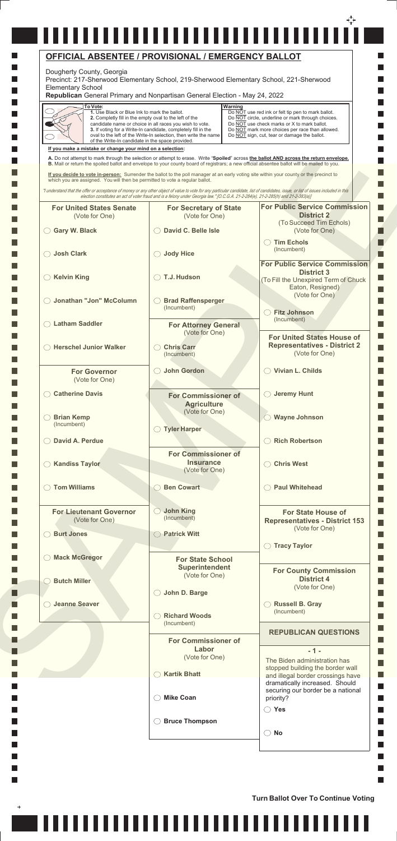| To Vote:<br>1. Use Black or Blue Ink to mark the ballot.<br>2. Completly fill in the empty oval to the left of the<br>of the Write-In candidate in the space provided. | candidate name or choice in all races you wish to vote.<br>3. If voting for a Write-In candidate, completely fill in the<br>oval to the left of the Write-In selection, then write the name | Warning<br>Do NOT use red ink or felt tip pen to mark ballot.<br>Do NOT circle, underline or mark through choices.<br>Do NOT use check marks or X to mark ballot.<br>Do NOT mark more choices per race than allowed.<br>Do NOT sign, cut, tear or damage the ballot.                                                       |
|------------------------------------------------------------------------------------------------------------------------------------------------------------------------|---------------------------------------------------------------------------------------------------------------------------------------------------------------------------------------------|----------------------------------------------------------------------------------------------------------------------------------------------------------------------------------------------------------------------------------------------------------------------------------------------------------------------------|
| If you make a mistake or change your mind on a selection:                                                                                                              |                                                                                                                                                                                             |                                                                                                                                                                                                                                                                                                                            |
|                                                                                                                                                                        |                                                                                                                                                                                             | A. Do not attempt to mark through the selection or attempt to erase. Write "Spoiled" across the ballot AND across the return envelope.<br>B. Mail or return the spoiled ballot and envelope to your county board of registrars; a new official absentee ballot will be mailed to you.                                      |
| which you are assigned. You will then be permitted to vote a regular ballot.                                                                                           |                                                                                                                                                                                             | If you decide to vote in-person: Surrender the ballot to the poll manager at an early voting site within your county or the precinct to                                                                                                                                                                                    |
|                                                                                                                                                                        |                                                                                                                                                                                             | "I understand that the offer or acceptance of money or any other object of value to vote for any particular candidate, list of candidates, issue, or list of issues included in this<br>election constitutes an act of voter fraud and is a felony under Georgia law." [O.C.G.A. 21-2-284(e), 21-2-285(h) and 21-2-383(a)] |
| <b>For United States Senate</b>                                                                                                                                        | <b>For Secretary of State</b><br>(Vote for One)                                                                                                                                             | <b>For Public Service Commission</b><br><b>District 2</b>                                                                                                                                                                                                                                                                  |
| (Vote for One)<br><b>Gary W. Black</b>                                                                                                                                 | David C. Belle Isle                                                                                                                                                                         | (To Succeed Tim Echols)<br>(Vote for One)                                                                                                                                                                                                                                                                                  |
| <b>Josh Clark</b>                                                                                                                                                      | ◯ Jody Hice                                                                                                                                                                                 | <b>Tim Echols</b><br>(Incumbent)                                                                                                                                                                                                                                                                                           |
|                                                                                                                                                                        |                                                                                                                                                                                             | <b>For Public Service Commission</b>                                                                                                                                                                                                                                                                                       |
| <b>Kelvin King</b>                                                                                                                                                     | ◯ T.J. Hudson                                                                                                                                                                               | <b>District 3</b><br>(To Fill the Unexpired Term of Chuck<br>Eaton, Resigned)                                                                                                                                                                                                                                              |
| Jonathan "Jon" McColumn                                                                                                                                                | <b>Brad Raffensperger</b>                                                                                                                                                                   | (Vote for One)                                                                                                                                                                                                                                                                                                             |
|                                                                                                                                                                        | (Incumbent)                                                                                                                                                                                 | <b>Fitz Johnson</b><br>(Incumbent)                                                                                                                                                                                                                                                                                         |
| <b>Latham Saddler</b>                                                                                                                                                  | <b>For Attorney General</b><br>(Vote for One)                                                                                                                                               |                                                                                                                                                                                                                                                                                                                            |
| <b>Herschel Junior Walker</b>                                                                                                                                          | <b>Chris Carr</b><br>(Incumbent)                                                                                                                                                            | <b>For United States House of</b><br><b>Representatives - District 2</b><br>(Vote for One)                                                                                                                                                                                                                                 |
| <b>For Governor</b><br>(Vote for One)                                                                                                                                  | <b>John Gordon</b><br>$($ )                                                                                                                                                                 | Vivian L. Childs                                                                                                                                                                                                                                                                                                           |
| <b>Catherine Davis</b>                                                                                                                                                 | <b>For Commissioner of</b>                                                                                                                                                                  | $\bigcirc$ Jeremy Hunt                                                                                                                                                                                                                                                                                                     |
|                                                                                                                                                                        | <b>Agriculture</b>                                                                                                                                                                          |                                                                                                                                                                                                                                                                                                                            |
| <b>Brian Kemp</b><br>(Incumbent)                                                                                                                                       | (Vote for One)<br>◯ Tyler Harper                                                                                                                                                            | <b>Wayne Johnson</b>                                                                                                                                                                                                                                                                                                       |
| David A. Perdue                                                                                                                                                        |                                                                                                                                                                                             | <b>Rich Robertson</b>                                                                                                                                                                                                                                                                                                      |
|                                                                                                                                                                        | <b>For Commissioner of</b>                                                                                                                                                                  |                                                                                                                                                                                                                                                                                                                            |
| <b>Kandiss Taylor</b>                                                                                                                                                  | <b>Insurance</b><br>(Vote for One)                                                                                                                                                          | <b>Chris West</b>                                                                                                                                                                                                                                                                                                          |
| <b>Tom Williams</b>                                                                                                                                                    | <b>Ben Cowart</b>                                                                                                                                                                           | <b>Paul Whitehead</b>                                                                                                                                                                                                                                                                                                      |
| <b>For Lieutenant Governor</b><br>(Vote for One)                                                                                                                       | <b>John King</b><br>(Incumbent)                                                                                                                                                             | <b>For State House of</b><br><b>Representatives - District 153</b>                                                                                                                                                                                                                                                         |
| <b>Burt Jones</b>                                                                                                                                                      | ◯ Patrick Witt                                                                                                                                                                              | (Vote for One)                                                                                                                                                                                                                                                                                                             |
|                                                                                                                                                                        |                                                                                                                                                                                             | <b>Tracy Taylor</b>                                                                                                                                                                                                                                                                                                        |
| <b>Mack McGregor</b>                                                                                                                                                   | <b>For State School</b>                                                                                                                                                                     |                                                                                                                                                                                                                                                                                                                            |
| <b>Butch Miller</b>                                                                                                                                                    | <b>Superintendent</b><br>(Vote for One)                                                                                                                                                     | <b>For County Commission</b><br><b>District 4</b><br>(Vote for One)                                                                                                                                                                                                                                                        |
|                                                                                                                                                                        | John D. Barge<br>( )                                                                                                                                                                        |                                                                                                                                                                                                                                                                                                                            |
| <b>Jeanne Seaver</b>                                                                                                                                                   | <b>Richard Woods</b>                                                                                                                                                                        | <b>Russell B. Gray</b><br>(Incumbent)                                                                                                                                                                                                                                                                                      |
|                                                                                                                                                                        | (Incumbent)                                                                                                                                                                                 | <b>REPUBLICAN QUESTIONS</b>                                                                                                                                                                                                                                                                                                |
|                                                                                                                                                                        | <b>For Commissioner of</b><br>Labor                                                                                                                                                         | $-1 -$                                                                                                                                                                                                                                                                                                                     |
|                                                                                                                                                                        | (Vote for One)                                                                                                                                                                              | The Biden administration has<br>stopped building the border wall                                                                                                                                                                                                                                                           |
|                                                                                                                                                                        | <b>Kartik Bhatt</b>                                                                                                                                                                         | and illegal border crossings have<br>dramatically increased. Should                                                                                                                                                                                                                                                        |
|                                                                                                                                                                        | <b>Mike Coan</b>                                                                                                                                                                            | securing our border be a national<br>priority?<br>$\bigcirc$ Yes                                                                                                                                                                                                                                                           |
|                                                                                                                                                                        | <b>Bruce Thompson</b>                                                                                                                                                                       |                                                                                                                                                                                                                                                                                                                            |
|                                                                                                                                                                        |                                                                                                                                                                                             |                                                                                                                                                                                                                                                                                                                            |

,,,,,,,,,,,,,,,,,,,,,,,,,,,,,,

 $\ddot{}$ 

Ш

## € \_\_\_\_\_\_\_\_\_\_\_\_\_\_\_\_\_\_\_\_\_\_\_\_\_\_\_\_\_\_\_\_\_\_ **OFFICIAL ABSENTEE / PROVISIONAL / EMERGENCY BALLOT** Dougherty County, Georgia Precinct: 217-Sherwood Elementary School, 219-Sherwood Elementary School, 221-Sherwood Elementary School

 $\mathbb{R}^n$ 

ш

×. ٦

**Turn Ballot Over To Continue Voting**

Ш

**Republican** General Primary and Nonpartisan General Election - May 24, 2022